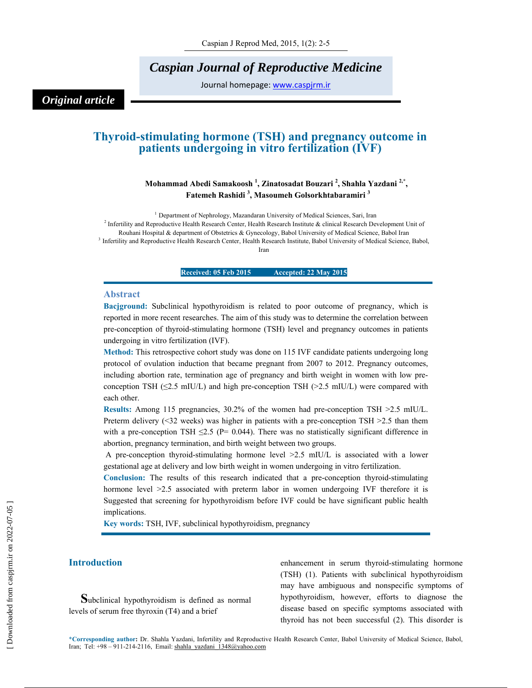# *Caspian Journal of Reproductive Medicine*

Journal homepage: www.caspjrm.ir

# *Original article*

# **Thyroid-stimulating hormone (TSH) and pregnancy outcome in patients undergoing in vitro fertilization (IVF)**

## Mohammad Abedi Samakoosh<sup>1</sup>, Zinatosadat Bouzari<sup>2</sup>, Shahla Yazdani<sup>2,\*</sup>,  **Fatemeh Rashidi <sup>3</sup> , Masoumeh Golsorkhtabaramiri <sup>3</sup>**

<sup>1</sup> Department of Nephrology, Mazandaran University of Medical Sciences, Sari, Iran 2 Infertility and Reproductive Health Research Center, Health Research Institute & clinical Research Development Unit of Rouhani Hospital & department of Obstetrics & Gynecology, Babol University of Medical Science, Babol Iran<br><sup>3</sup> Infertility and Reproductive Health Research Center, Health Research Institute, Babol University of Medical Scie

Iran

**Received: 05 Feb 2015** Accepted: 22 May 2015

#### **Abstract**

**Bacjground:** Subclinical hypothyroidism is related to poor outcome of pregnancy, which is reported in more recent researches. The aim of this study was to determine the correlation between pre-conception of thyroid-stimulating hormone (TSH) level and pregnancy outcomes in patients undergoing in vitro fertilization (IVF).

**Method:** This retrospective cohort study was done on 115 IVF candidate patients undergoing long protocol of ovulation induction that became pregnant from 2007 to 2012. Pregnancy outcomes, including abortion rate, termination age of pregnancy and birth weight in women with low preconception TSH  $(\leq 2.5 \text{ mU/L})$  and high pre-conception TSH  $(\geq 2.5 \text{ mU/L})$  were compared with each other.

**Results:** Among 115 pregnancies, 30.2% of the women had pre-conception TSH >2.5 mIU/L. Preterm delivery (<32 weeks) was higher in patients with a pre-conception TSH >2.5 than them with a pre-conception TSH  $\leq$ 2.5 (P= 0.044). There was no statistically significant difference in abortion, pregnancy termination, and birth weight between two groups.

 A pre-conception thyroid-stimulating hormone level >2.5 mIU/L is associated with a lower gestational age at delivery and low birth weight in women undergoing in vitro fertilization.

**Conclusion:** The results of this research indicated that a pre-conception thyroid-stimulating hormone level >2.5 associated with preterm labor in women undergoing IVF therefore it is Suggested that screening for hypothyroidism before IVF could be have significant public health implications.

**Key words:** TSH, IVF, subclinical hypothyroidism, pregnancy

### **Introduction**

**S**ubclinical hypothyroidism is defined as normal levels of serum free thyroxin (T4) and a brief

enhancement in serum thyroid-stimulating hormone (TSH) (1). Patients with subclinical hypothyroidism may have ambiguous and nonspecific symptoms of hypothyroidism, however, efforts to diagnose the disease based on specific symptoms associated with thyroid has not been successful (2). This disorder is

\***Corresponding author:** Dr. Shahla Yazdani, Infertility and Reproductive Health Research Center, Babol University of Medical Science, Babol, Iran; Tel: +98 – 911-214-2116, Email: shahla\_yazdani\_1348@yahoo.com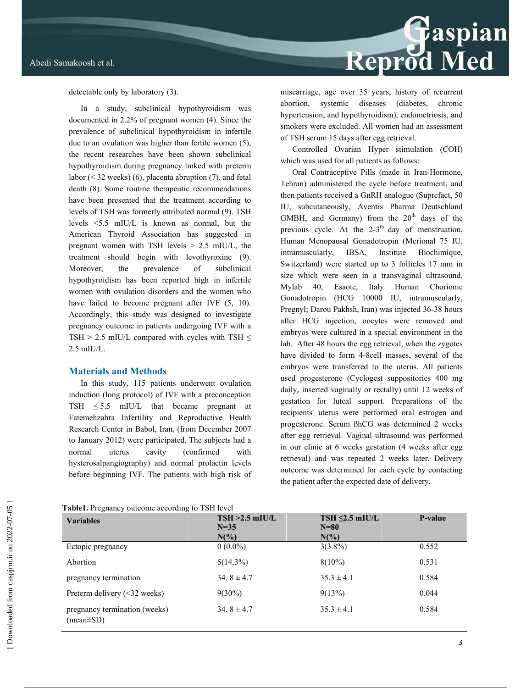

detectable only by laboratory (3).

In a study, subclinical hypothyroidism was documented in 2.2% of pregnant women (4). Since the prevalence of subclinical hypothyroidism in infertile due to an ovulation was higher than fertile women (5), the recent researches have been shown subclinical hypothyroidism during pregnancy linked with preterm labor (< 32 weeks) (6), placenta abruption (7), and fetal death (8). Some routine therapeutic recommendations have been presented that the treatment according to levels of TSH was formerly attributed normal (9). TSH levels <5.5 mIU/L is known as normal, but the American Thyroid Association has suggested in pregnant women with TSH levels > 2.5 mIU/L, the treatment should begin with levothyroxine (9). Moreover, the prevalence of subclinical hypothyroidism has been reported high in infertile women with ovulation disorders and the women who have failed to become pregnant after IVF  $(5, 10)$ . Accordingly, this study was designed to investigate pregnancy outcome in patients undergoing IVF with a TSH > 2.5 mIU/L compared with cycles with TSH  $\leq$ 2.5 mIU/L.

#### **Materials and Methods**

In this study, 115 patients underwent ovulation induction (long protocol) of IVF with a preconception TSH  $\leq$  5.5 mIU/L that became pregnant at Fatemehzahra Infertility and Reproductive Health Research Center in Babol, Iran, (from December 2007 to January 2012) were participated. The subjects had a normal uterus cavity (confirmed with hysterosalpangiography) and normal prolactin levels before beginning IVF. The patients with high risk of

**Table1.** Pregnancy outcome according to TSH level

miscarriage, age over 35 years, history of recurrent abortion, systemic diseases (diabetes, chronic hypertension, and hypothyroidism), endometriosis, and smokers were excluded. All women had an assessment of TSH serum 15 days after egg retrieval.

Controlled Ovarian Hyper stimulation (COH) which was used for all patients as follows:

Oral Contraceptive Pills (made in Iran-Hormone, Tehran) administered the cycle before treatment, and then patients received a GnRH analogue (Suprefact, 50 IU, subcutaneously, Aventis Pharma Deutschland GMBH, and Germany) from the  $20<sup>th</sup>$  days of the previous cycle. At the  $2-3$ <sup>th</sup> day of menstruation, Human Menopausal Gonadotropin (Merional 75 IU, intramuscularly, IBSA, Institute Biochimique, Switzerland) were started up to 3 follicles 17 mm in size which were seen in a transvaginal ultrasound. Mylab 40, Esaote, Italy Human Chorionic Gonadotropin (HCG 10000 IU, intramuscularly, Pregnyl; Darou Pakhsh, Iran) was injected 36-38 hours after HCG injection, oocytes were removed and embryos were cultured in a special environment in the lab. After 48 hours the egg retrieval, when the zygotes have divided to form 4-8cell masses, several of the embryos were transferred to the uterus. All patients used progesterone (Cyclogest suppositories 400 mg daily, inserted vaginally or rectally) until 12 weeks of gestation for luteal support. Preparations of the recipients' uterus were performed oral estrogen and progesterone. Serum ßhCG was determined 2 weeks after egg retrieval. Vaginal ultrasound was performed in our clinic at 6 weeks gestation (4 weeks after egg retrieval) and was repeated 2 weeks later. Delivery outcome was determined for each cycle by contacting the patient after the expected date of delivery.

| <b>Variables</b>                                 | $TSH > 2.5$ mIU/L<br>$N = 35$<br>$N\binom{0}{0}$ | $TSH \leq 2.5$ mIU/L<br>$N=80$<br>$N\binom{0}{0}$ | <b>P-value</b> |
|--------------------------------------------------|--------------------------------------------------|---------------------------------------------------|----------------|
| Ectopic pregnancy                                | $0(0.0\%)$                                       | $3(3.8\%)$                                        | 0.552          |
| Abortion                                         | $5(14.3\%)$                                      | $8(10\%)$                                         | 0.531          |
| pregnancy termination                            | 34.8 $\pm$ 4.7                                   | $35.3 \pm 4.1$                                    | 0.584          |
| Preterm delivery $(\leq 32$ weeks)               | $9(30\%)$                                        | 9(13%)                                            | 0.044          |
| pregnancy termination (weeks)<br>$(mean \pm SD)$ | 34.8 $\pm$ 4.7                                   | $35.3 \pm 4.1$                                    | 0.584          |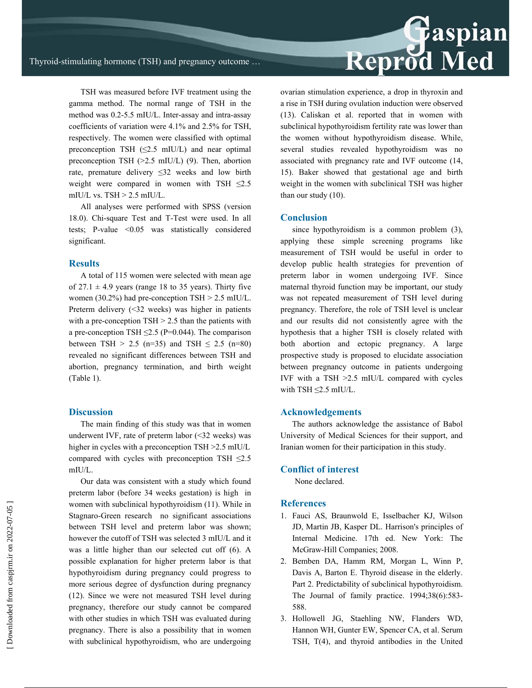

All analyses were performed with SPSS (version 18.0). Chi-square Test and T-Test were used. In all tests; P-value <0.05 was statistically considered significant.

#### **Results**

A total of 115 women were selected with mean age of  $27.1 \pm 4.9$  years (range 18 to 35 years). Thirty five women  $(30.2\%)$  had pre-conception TSH  $> 2.5$  mIU/L. Preterm delivery (<32 weeks) was higher in patients with a pre-conception  $TSH > 2.5$  than the patients with a pre-conception TSH  $\leq$ 2.5 (P=0.044). The comparison between TSH > 2.5 (n=35) and TSH  $\leq$  2.5 (n=80) revealed no significant differences between TSH and abortion, pregnancy termination, and birth weight (Table 1).

#### **Discussion**

The main finding of this study was that in women underwent IVF, rate of preterm labor (<32 weeks) was higher in cycles with a preconception TSH  $\geq$  2.5 mIU/L compared with cycles with preconception TSH  $\leq$ 2.5 mIU/L.

Our data was consistent with a study which found preterm labor (before 34 weeks gestation) is high in women with subclinical hypothyroidism (11). While in Stagnaro-Green research no significant associations between TSH level and preterm labor was shown; however the cutoff of TSH was selected 3 mIU/L and it was a little higher than our selected cut off (6). A possible explanation for higher preterm labor is that hypothyroidism during pregnancy could progress to more serious degree of dysfunction during pregnancy (12). Since we were not measured TSH level during pregnancy, therefore our study cannot be compared with other studies in which TSH was evaluated during pregnancy. There is also a possibility that in women with subclinical hypothyroidism, who are undergoing ovarian stimulation experience, a drop in thyroxin and a rise in TSH during ovulation induction were observed (13). Caliskan et al. reported that in women with subclinical hypothyroidism fertility rate was lower than the women without hypothyroidism disease. While, several studies revealed hypothyroidism was no associated with pregnancy rate and IVF outcome (14, 15). Baker showed that gestational age and birth weight in the women with subclinical TSH was higher than our study (10).

Reprod Med

#### **Conclusion**

since hypothyroidism is a common problem (3), applying these simple screening programs like measurement of TSH would be useful in order to develop public health strategies for prevention of preterm labor in women undergoing IVF. Since maternal thyroid function may be important, our study was not repeated measurement of TSH level during pregnancy. Therefore, the role of TSH level is unclear and our results did not consistently agree with the hypothesis that a higher TSH is closely related with both abortion and ectopic pregnancy. A large prospective study is proposed to elucidate association between pregnancy outcome in patients undergoing IVF with a TSH >2.5 mIU/L compared with cycles with  $TSH \leq 2.5$  mIU/L.

#### **Acknowledgements**

The authors acknowledge the assistance of Babol University of Medical Sciences for their support, and Iranian women for their participation in this study.

### **Conflict of interest**

None declared.

#### **References**

- 1. Fauci AS, Braunwold E, Isselbacher KJ, Wilson JD, Martin JB, Kasper DL. Harrison's principles of Internal Medicine. 17th ed. New York: The McGraw-Hill Companies; 2008.
- 2. Bemben DA, Hamm RM, Morgan L, Winn P, Davis A, Barton E. Thyroid disease in the elderly. Part 2. Predictability of subclinical hypothyroidism. The Journal of family practice. 1994;38(6):583- 588.
- 3. Hollowell JG, Staehling NW, Flanders WD, Hannon WH, Gunter EW, Spencer CA, et al. Serum TSH, T(4), and thyroid antibodies in the United